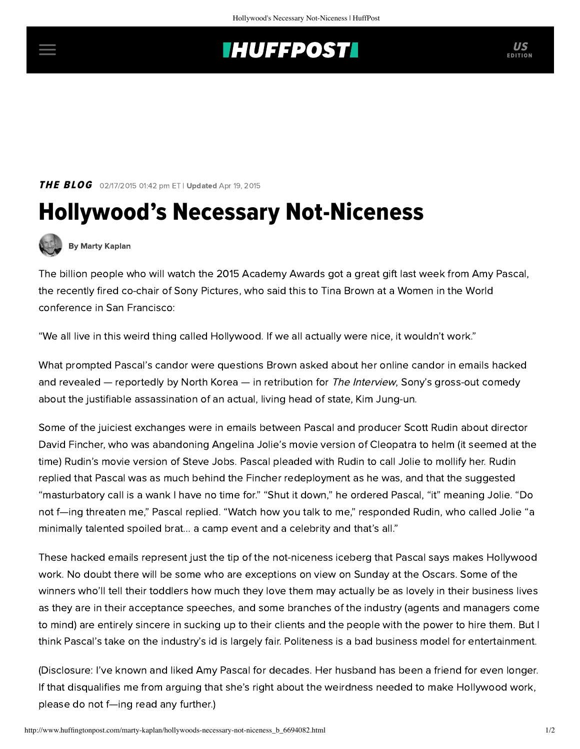## **INUFFPOSTI** US

### **THE BLOG** 02/17/2015 01:42 pm ET | Updated Apr 19, 2015

# Hollywood's Necessary Not-Niceness



### [By Marty Kaplan](http://www.huffingtonpost.com/author/marty-kaplan)

The billion people who will watch the 2015 Academy Awards got a great gift last week from Amy Pascal, the recently fired co-chair of Sony Pictures, who [said this](http://deadline.com/2015/02/amy-pascal-tina-brown-sony-fired-1201372825/) to Tina Brown at a Women in the World conference in San Francisco:

"We all live in this weird thing called Hollywood. If we all actually were nice, it wouldn't work."

What prompted Pascal's candor were questions Brown asked about her online candor in emails hacked and [revealed](http://defamer.gawker.com/leaked-the-nightmare-email-drama-behind-sonys-steve-jo-1668882936) — reportedly by North Korea — in retribution for *The Interview*, Sony's gross-out comedy about the justifiable assassination of an actual, living head of state, Kim Jung-un.

Some of the juiciest exchanges were in emails between Pascal and producer Scott Rudin about director David Fincher, who was abandoning Angelina Jolie's movie version of Cleopatra to helm (it seemed at the time) Rudin's movie version of Steve Jobs. Pascal pleaded with Rudin to call Jolie to mollify her. Rudin replied that Pascal was as much behind the Fincher redeployment as he was, and that the suggested "masturbatory call is a wank I have no time for." "Shut it down," he ordered Pascal, "it" meaning Jolie. "Do not f—ing threaten me," Pascal replied. "Watch how you talk to me," responded Rudin, who called Jolie "a minimally talented spoiled brat... a camp event and a celebrity and that's all."

These hacked emails represent just the tip of the not-niceness iceberg that Pascal says makes Hollywood work. No doubt there will be some who are exceptions on view on Sunday at the Oscars. Some of the winners who'll tell their toddlers how much they love them may actually be as lovely in their business lives as they are in their acceptance speeches, and some branches of the industry (agents and managers come to mind) are entirely sincere in sucking up to their clients and the people with the power to hire them. But I think Pascal's take on the industry's id is largely fair. Politeness is a bad business model for entertainment.

(Disclosure: I've known and liked Amy Pascal for decades. Her husband has been a friend for even longer. If that disqualifies me from arguing that she's right about the weirdness needed to make Hollywood work, please do not f—ing read any further.)